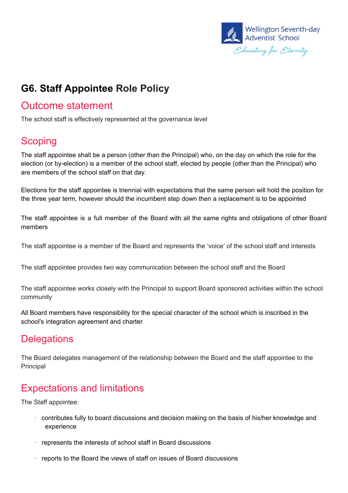

# **G6. Staff Appointee Role Policy**

### Outcome statement

The school staff is effectively represented at the governance level

### **Scoping**

The staff appointee shall be a person (other than the Principal) who, on the day on which the role for the election (or by-election) is a member of the school staff, elected by people (other than the Principal) who are members of the school staff on that day.

Elections for the staff appointee is triennial with expectations that the same person will hold the position for the three year term, however should the incumbent step down then a replacement is to be appointed

The staff appointee is a full member of the Board with all the same rights and obligations of other Board members

The staff appointee is a member of the Board and represents the 'voice' of the school staff and interests

The staff appointee provides two way communication between the school staff and the Board

The staff appointee works closely with the Principal to support Board sponsored activities within the school community

All Board members have responsibility for the special character of the school which is inscribed in the school's integration agreement and charter

### **Delegations**

The Board delegates management of the relationship between the Board and the staff appointee to the Principal

### Expectations and limitations

The Staff appointee:

- · contributes fully to board discussions and decision making on the basis of his/her knowledge and experience
- · represents the interests of school staff in Board discussions
- · reports to the Board the views of staff on issues of Board discussions